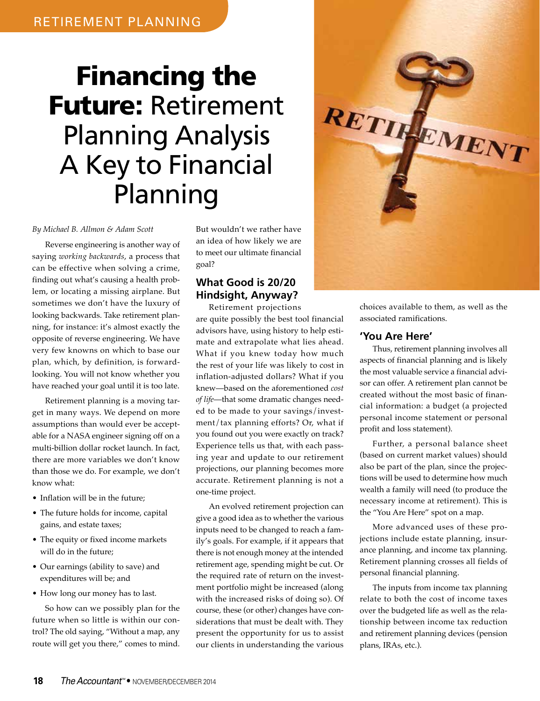# Financing the Future: Retirement Planning Analysis A Key to Financial Planning

#### *By Michael B. Allmon & Adam Scott*

Reverse engineering is another way of saying *working backwards*, a process that can be effective when solving a crime, finding out what's causing a health problem, or locating a missing airplane. But sometimes we don't have the luxury of looking backwards. Take retirement planning, for instance: it's almost exactly the opposite of reverse engineering. We have very few knowns on which to base our plan, which, by definition, is forwardlooking. You will not know whether you have reached your goal until it is too late.

Retirement planning is a moving target in many ways. We depend on more assumptions than would ever be acceptable for a NASA engineer signing off on a multi-billion dollar rocket launch. In fact, there are more variables we don't know than those we do. For example, we don't know what:

- Inflation will be in the future;
- The future holds for income, capital gains, and estate taxes;
- The equity or fixed income markets will do in the future;
- Our earnings (ability to save) and expenditures will be; and
- How long our money has to last.

So how can we possibly plan for the future when so little is within our control? The old saying, "Without a map, any route will get you there," comes to mind.

But wouldn't we rather have an idea of how likely we are to meet our ultimate financial goal?

### **What Good is 20/20 Hindsight, Anyway?**

Retirement projections are quite possibly the best tool financial advisors have, using history to help estimate and extrapolate what lies ahead. What if you knew today how much the rest of your life was likely to cost in inflation-adjusted dollars? What if you knew—based on the aforementioned *cost of life*—that some dramatic changes needed to be made to your savings/investment/tax planning efforts? Or, what if you found out you were exactly on track? Experience tells us that, with each passing year and update to our retirement projections, our planning becomes more accurate. Retirement planning is not a one-time project.

An evolved retirement projection can give a good idea as to whether the various inputs need to be changed to reach a family's goals. For example, if it appears that there is not enough money at the intended retirement age, spending might be cut. Or the required rate of return on the investment portfolio might be increased (along with the increased risks of doing so). Of course, these (or other) changes have considerations that must be dealt with. They present the opportunity for us to assist our clients in understanding the various



choices available to them, as well as the associated ramifications.

#### **'You Are Here'**

Thus, retirement planning involves all aspects of financial planning and is likely the most valuable service a financial advisor can offer. A retirement plan cannot be created without the most basic of financial information: a budget (a projected personal income statement or personal profit and loss statement).

Further, a personal balance sheet (based on current market values) should also be part of the plan, since the projections will be used to determine how much wealth a family will need (to produce the necessary income at retirement). This is the "You Are Here" spot on a map.

More advanced uses of these projections include estate planning, insurance planning, and income tax planning. Retirement planning crosses all fields of personal financial planning.

The inputs from income tax planning relate to both the cost of income taxes over the budgeted life as well as the relationship between income tax reduction and retirement planning devices (pension plans, IRAs, etc.).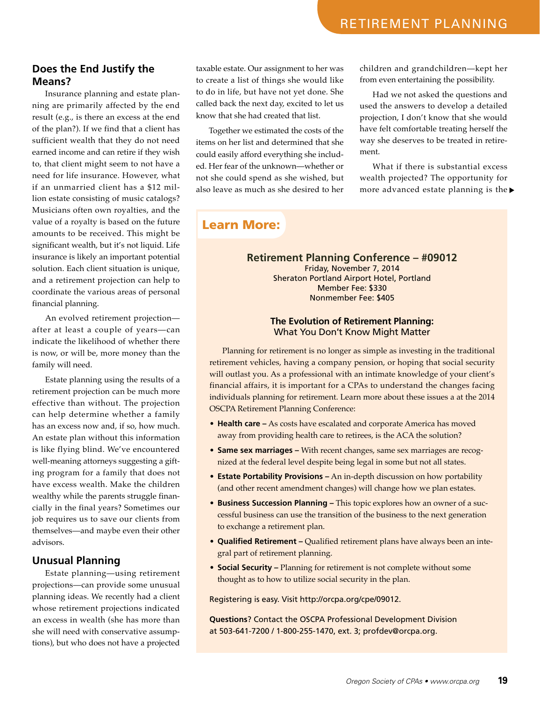#### **Does the End Justify the Means?**

Insurance planning and estate planning are primarily affected by the end result (e.g., is there an excess at the end of the plan?). If we find that a client has sufficient wealth that they do not need earned income and can retire if they wish to, that client might seem to not have a need for life insurance. However, what if an unmarried client has a \$12 million estate consisting of music catalogs? Musicians often own royalties, and the value of a royalty is based on the future amounts to be received. This might be significant wealth, but it's not liquid. Life insurance is likely an important potential solution. Each client situation is unique, and a retirement projection can help to coordinate the various areas of personal financial planning.

An evolved retirement projection after at least a couple of years—can indicate the likelihood of whether there is now, or will be, more money than the family will need.

Estate planning using the results of a retirement projection can be much more effective than without. The projection can help determine whether a family has an excess now and, if so, how much. An estate plan without this information is like flying blind. We've encountered well-meaning attorneys suggesting a gifting program for a family that does not have excess wealth. Make the children wealthy while the parents struggle financially in the final years? Sometimes our job requires us to save our clients from themselves—and maybe even their other advisors.

#### **Unusual Planning**

Estate planning—using retirement projections—can provide some unusual planning ideas. We recently had a client whose retirement projections indicated an excess in wealth (she has more than she will need with conservative assumptions), but who does not have a projected

taxable estate. Our assignment to her was to create a list of things she would like to do in life, but have not yet done. She called back the next day, excited to let us know that she had created that list.

Together we estimated the costs of the items on her list and determined that she could easily afford everything she included. Her fear of the unknown—whether or not she could spend as she wished, but also leave as much as she desired to her children and grandchildren—kept her from even entertaining the possibility.

Had we not asked the questions and used the answers to develop a detailed projection, I don't know that she would have felt comfortable treating herself the way she deserves to be treated in retirement.

What if there is substantial excess wealth projected? The opportunity for more advanced estate planning is the

## Learn More:

**Retirement Planning Conference – #09012**

Friday, November 7, 2014 Sheraton Portland Airport Hotel, Portland Member Fee: \$330 Nonmember Fee: \$405

#### **The Evolution of Retirement Planning:**  What You Don't Know Might Matter

Planning for retirement is no longer as simple as investing in the traditional retirement vehicles, having a company pension, or hoping that social security will outlast you. As a professional with an intimate knowledge of your client's financial affairs, it is important for a CPAs to understand the changes facing individuals planning for retirement. Learn more about these issues a at the 2014 OSCPA Retirement Planning Conference:

- **Health care –** As costs have escalated and corporate America has moved away from providing health care to retirees, is the ACA the solution?
- **Same sex marriages** With recent changes, same sex marriages are recognized at the federal level despite being legal in some but not all states.
- **Estate Portability Provisions –** An in-depth discussion on how portability (and other recent amendment changes) will change how we plan estates.
- **Business Succession Planning –** This topic explores how an owner of a successful business can use the transition of the business to the next generation to exchange a retirement plan.
- **Qualified Retirement –** Qualified retirement plans have always been an integral part of retirement planning.
- **Social Security –** Planning for retirement is not complete without some thought as to how to utilize social security in the plan.

Registering is easy. Visit http://orcpa.org/cpe/09012.

**Questions**? Contact the OSCPA Professional Development Division at 503-641-7200 / 1-800-255-1470, ext. 3; profdev@orcpa.org.